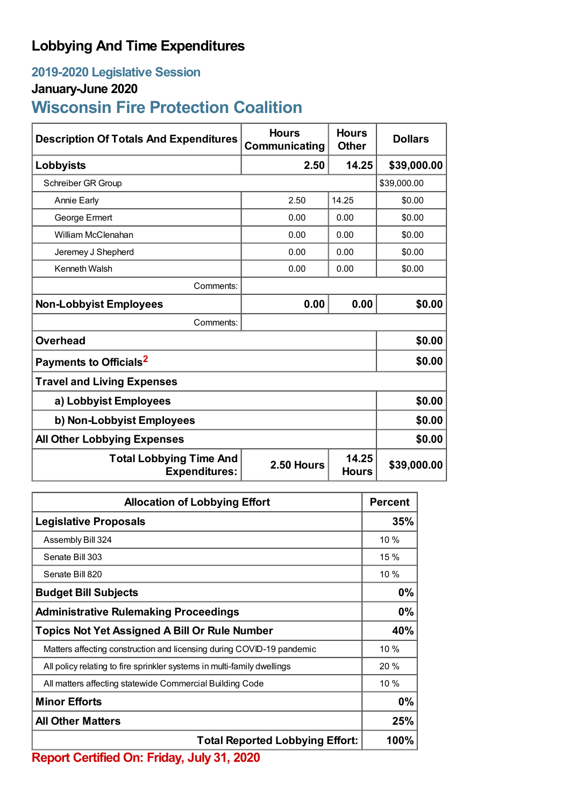## **Lobbying And Time Expenditures**

### **2019-2020 Legislative Session**

### **January-June 2020**

# **Wisconsin Fire Protection Coalition**

| <b>Description Of Totals And Expenditures</b>          | <b>Hours</b><br>Communicating | <b>Hours</b><br><b>Other</b> | <b>Dollars</b> |  |
|--------------------------------------------------------|-------------------------------|------------------------------|----------------|--|
| Lobbyists                                              | 2.50                          | 14.25                        | \$39,000.00    |  |
| Schreiber GR Group                                     |                               |                              | \$39,000.00    |  |
| <b>Annie Early</b>                                     | 2.50                          | 14.25                        | \$0.00         |  |
| George Ermert                                          | 0.00                          | 0.00                         | \$0.00         |  |
| William McClenahan                                     | 0.00                          | 0.00                         | \$0.00         |  |
| Jeremey J Shepherd                                     | 0.00                          | 0.00                         | \$0.00         |  |
| <b>Kenneth Walsh</b>                                   | 0.00                          | 0.00                         | \$0.00         |  |
| Comments:                                              |                               |                              |                |  |
| <b>Non-Lobbyist Employees</b>                          | 0.00                          | 0.00                         | \$0.00         |  |
| Comments:                                              |                               |                              |                |  |
| <b>Overhead</b>                                        |                               |                              | \$0.00         |  |
| Payments to Officials <sup>2</sup>                     |                               |                              | \$0.00         |  |
| <b>Travel and Living Expenses</b>                      |                               |                              |                |  |
| a) Lobbyist Employees                                  |                               |                              | \$0.00         |  |
| b) Non-Lobbyist Employees                              |                               |                              | \$0.00         |  |
| <b>All Other Lobbying Expenses</b>                     |                               |                              | \$0.00         |  |
| <b>Total Lobbying Time And</b><br><b>Expenditures:</b> | 2.50 Hours                    | 14.25<br><b>Hours</b>        | \$39,000.00    |  |

| <b>Allocation of Lobbying Effort</b>                                    |       |
|-------------------------------------------------------------------------|-------|
| <b>Legislative Proposals</b>                                            | 35%   |
| Assembly Bill 324                                                       | 10 %  |
| Senate Bill 303                                                         | 15%   |
| Senate Bill 820                                                         | 10%   |
| <b>Budget Bill Subjects</b>                                             | $0\%$ |
| <b>Administrative Rulemaking Proceedings</b>                            | 0%    |
| <b>Topics Not Yet Assigned A Bill Or Rule Number</b>                    |       |
| Matters affecting construction and licensing during COVID-19 pandemic   | 10 %  |
| All policy relating to fire sprinkler systems in multi-family dwellings | 20%   |
| All matters affecting statewide Commercial Building Code                | 10%   |
| <b>Minor Efforts</b>                                                    |       |
| <b>All Other Matters</b>                                                |       |
| <b>Total Reported Lobbying Effort:</b>                                  |       |

**Report Certified On: Friday, July 31, 2020**